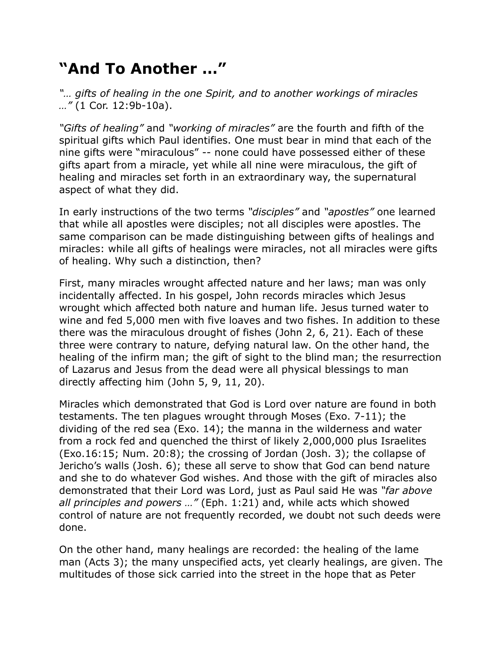## **"And To Another …"**

*"… gifts of healing in the one Spirit, and to another workings of miracles …"* (1 Cor. 12:9b-10a).

*"Gifts of healing"* and *"working of miracles"* are the fourth and fifth of the spiritual gifts which Paul identifies. One must bear in mind that each of the nine gifts were "miraculous" -- none could have possessed either of these gifts apart from a miracle, yet while all nine were miraculous, the gift of healing and miracles set forth in an extraordinary way, the supernatural aspect of what they did.

In early instructions of the two terms *"disciples"* and *"apostles"* one learned that while all apostles were disciples; not all disciples were apostles. The same comparison can be made distinguishing between gifts of healings and miracles: while all gifts of healings were miracles, not all miracles were gifts of healing. Why such a distinction, then?

First, many miracles wrought affected nature and her laws; man was only incidentally affected. In his gospel, John records miracles which Jesus wrought which affected both nature and human life. Jesus turned water to wine and fed 5,000 men with five loaves and two fishes. In addition to these there was the miraculous drought of fishes (John 2, 6, 21). Each of these three were contrary to nature, defying natural law. On the other hand, the healing of the infirm man; the gift of sight to the blind man; the resurrection of Lazarus and Jesus from the dead were all physical blessings to man directly affecting him (John 5, 9, 11, 20).

Miracles which demonstrated that God is Lord over nature are found in both testaments. The ten plagues wrought through Moses (Exo. 7-11); the dividing of the red sea (Exo. 14); the manna in the wilderness and water from a rock fed and quenched the thirst of likely 2,000,000 plus Israelites (Exo.16:15; Num. 20:8); the crossing of Jordan (Josh. 3); the collapse of Jericho's walls (Josh. 6); these all serve to show that God can bend nature and she to do whatever God wishes. And those with the gift of miracles also demonstrated that their Lord was Lord, just as Paul said He was *"far above all principles and powers …"* (Eph. 1:21) and, while acts which showed control of nature are not frequently recorded, we doubt not such deeds were done.

On the other hand, many healings are recorded: the healing of the lame man (Acts 3); the many unspecified acts, yet clearly healings, are given. The multitudes of those sick carried into the street in the hope that as Peter